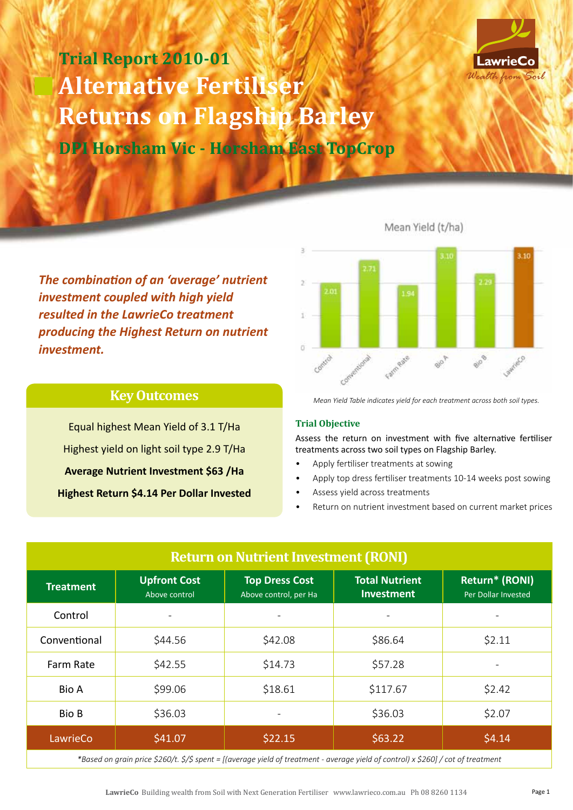

# **Trial Report 2010-01 Alternative Fertiliser Returns on Flagship Barley DPI Horsham Vic - Horsham East TopCrop**

Mean Yield (t/ha)



*The combination of an 'average' nutrient investment coupled with high yield resulted in the LawrieCo treatment producing the Highest Return on nutrient investment.*

## **Key Outcomes**

Equal highest Mean Yield of 3.1 T/Ha Highest yield on light soil type 2.9 T/Ha **Average Nutrient Investment \$63 /Ha Highest Return \$4.14 Per Dollar Invested**  *Mean Yield Table indicates yield for each treatment across both soil types.*

### **Trial Objective**

Assess the return on investment with five alternative fertiliser treatments across two soil types on Flagship Barley.

- Apply fertiliser treatments at sowing
- Apply top dress fertiliser treatments 10-14 weeks post sowing
- Assess yield across treatments
- Return on nutrient investment based on current market prices

| <b>Return on Nutrient Investment (RONI)</b> |                                      |                                                |                                            |                                       |
|---------------------------------------------|--------------------------------------|------------------------------------------------|--------------------------------------------|---------------------------------------|
| <b>Treatment</b>                            | <b>Upfront Cost</b><br>Above control | <b>Top Dress Cost</b><br>Above control, per Ha | <b>Total Nutrient</b><br><b>Investment</b> | Return* (RONI)<br>Per Dollar Invested |
| Control                                     |                                      |                                                |                                            |                                       |
| Conventional                                | \$44.56                              | \$42.08                                        | \$86.64                                    | \$2.11                                |
| Farm Rate                                   | \$42.55                              | \$14.73                                        | \$57.28                                    | -                                     |
| <b>Bio A</b>                                | \$99.06                              | \$18.61                                        | \$117.67                                   | \$2.42                                |
| <b>Bio B</b>                                | \$36.03                              |                                                | \$36.03                                    | \$2.07                                |
| LawrieCo                                    | \$41.07                              | \$22.15                                        | \$63.22                                    | \$4.14                                |
|                                             |                                      |                                                |                                            |                                       |

*\*Based on grain price \$260/t. \$/\$ spent = [(average yield of treatment - average yield of control) x \$260] / cot of treatment*